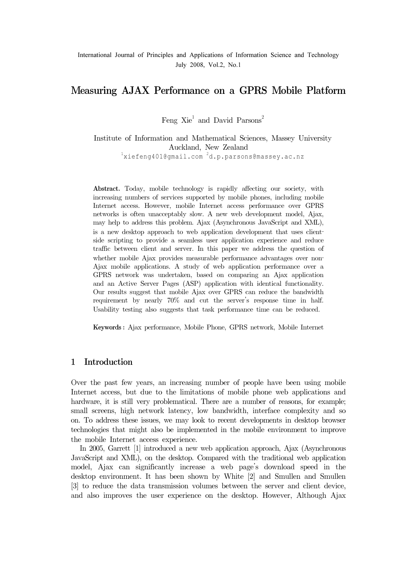# $\Theta$

Feng  $\mathrm{Xie}^1$  and David Parsons<sup>2</sup>

Institute of Information and Mathematical Sciences, Massey University Auckland, New Zealand <sup>1</sup> xiefeng401@gmail.com <sup>2</sup>d.p.parsons@massey.ac.nz

Abstract. Today, mobile technology is rapidly affecting our society, with increasing numbers of services supported by mobile phones, including mobile Internet access. However, mobile Internet access performance over GPRS networks is often unacceptably slow. A new web development model, Ajax, may help to address this problem. Ajax (Asynchronous JavaScript and XML), Abstract. Today, mobile technology is rapidly affecting our society, with<br>increasing numbers of services supported by mobile phones, including mobile<br>Internet access. However, mobile Internet access performance over GPRS<br>n side scripting to provide a seamless user application experience and reduce traffic between client and server. In this paper we address the question of increasing numbers of services supported by mobile phones, including mobile Internet access. However, mobile Internet access performance over GPRS networks is often unacceptably slow. A new web development model, Ajax, may Ajax mobile applications. A study of web application performance over a GPRS network was undertaken, based on comparing an Ajax application and an Active Server Pages (ASP) application with identical functionality.<br>Our results suggest that mobile Ajax over GPRS can reduce the bandwidth<br>requirement by nearly 70% and cut the server's response time in half. Our results suggest that mobile Ajax over GPRS can reduce the bandwidth Usability testing also suggests that task performance time can be reduced.

Keywords : Ajax performance, Mobile Phone, GPRS network, Mobile Internet

# 1 Introduction

Over the past few years, an increasing number of people have been using mobile Internet access, but due to the limitations of mobile phone web applications and hardware, it is still very problematical. There are a number of reasons, for example; small screens, high network latency, low bandwidth, interface complexity and so on. To address these issues, we may look to recent developments in desktop browser technologies that might also be implemented in the mobile environment to improve the mobile Internet access experience.

In 2005, Garrett [1] introduced a new web application approach, Ajax (Asynchronous JavaScript and XML), on the desktop. Compared with the traditional web application model, Ajax can significantly increase a web page's download speed in the desktop environment. It has been shown by White [2] and Smullen and Smullen [3] to reduce the data transmission volumes between the server and client device, and also improves the user experience on the desktop. However, Although Ajax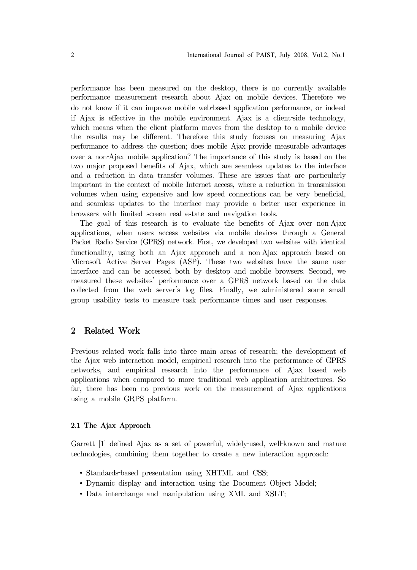performance has been measured on the desktop, there is no currently available performance mas been measured on the desktop, there is no currently available<br>performance measurement research about Ajax on mobile devices. Therefore we<br>do not know if it can improve mobile web-based application performan International Journal of PAIST, July 2008, Vol.2, No.1<br>performance has been measured on the desktop, there is no currently available<br>performance measurement research about Ajax on mobile devices. Therefore we<br>do not know i International Journal of PAIST, July 2008, Vol.2, No.1<br>
performance has been measured on the desktop, there is no currently available<br>
performance measurement research about Ajax on mobile devices. Therefore we<br>
do not kno which means when the client platform moves from the desktop to a mobile device the results may be different. Therefore this study focuses on measuring Ajax performance to address the question; does mobile Ajax provide measurable advantages two major proposed benefits of Ajax, which are seamless updates to the interface and a reduction in data transfer volumes. These are issues that are particularly important in the context of mobile Internet access, where a reduction in transmission volumes when using expensive and low speed connections can be very beneficial, and seamless updates to the interface may provide a better user experience in browsers with limited screen real estate and navigation tools. The goal of this study is based on the position of this study is based on the position in data transfer volumes. These are issues that are particularly portant in the context of mobile Internet access, where a reduction in

applications, when users access websites via mobile devices through a General Packet Radio Service (GPRS) network. First, we developed two websites with identical mportant in the context or mobile internet access, where a reduction in transmission<br>volumes when using expensive and low speed connections can be very beneficial,<br>and seamless updates to the interface may provide a better Microsoft Active Server Pages (ASP). These two websites have the same user interface and can be accessed both by desktop and mobile browsers. Second, we measured these websites' performance over a GPRS network based on the data collected from the web server's log files. Finally, we administered some small group usability tests to measure task performance times and user responses.

## 2 Related Work

Previous related work falls into three main areas of research; the development of the Ajax web interaction model, empirical research into the performance of GPRS networks, and empirical research into the performance of Ajax based web applications when compared to more traditional web application architectures. So far, there has been no previous work on the measurement of Ajax applications using a mobile GRPS platform. Factor applications when compared to more traditional web application architectures. So<br>far, there has been no previous work on the measurement of Ajax applications<br>using a mobile GRPS platform.<br>2.1 The Ajax Approach<br>Garre

## 2.1 The Ajax Approach

technologies, combining them together to create a new interaction approach: • The Ajax Approach<br>
• Standards–based presentation using XHTML and CSS;<br>
• Standards–based presentation using XHTML and CSS;

- 
- Dynamic display and interaction using the Document Object Model;
- Data interchange and manipulation using XML and XSLT;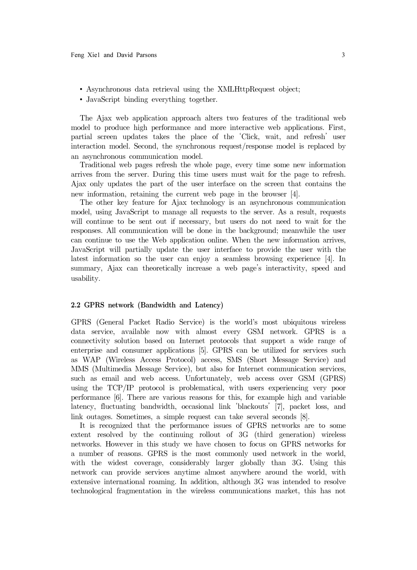- Asynchronous data retrieval using the XMLHttpRequest object;
- JavaScript binding everything together.

The Ajax web application approach alters two features of the traditional web model to produce high performance and more interactive web applications. First, partial screen updates takes the place of the 'Click, wait, and refresh' user interaction model. Second, the synchronous request/response model is replaced by an asynchronous communication model.

Traditional web pages refresh the whole page, every time some new information arrives from the server. During this time users must wait for the page to refresh. Ajax only updates the part of the user interface on the screen that contains the new information, retaining the current web page in the browser [4].

The other key feature for Ajax technology is an asynchronous communication model, using JavaScript to manage all requests to the server. As a result, requests will continue to be sent out if necessary, but users do not need to wait for the responses. All communication will be done in the background; meanwhile the user can continue to use the Web application online. When the new information arrives, JavaScript will partially update the user interface to provide the user with the latest information so the user can enjoy a seamless browsing experience [4]. In summary, Ajax can theoretically increase a web page's interactivity, speed and usability.

## 2.2 GPRS network (Bandwidth and Latency)

GPRS (General Packet Radio Service) is the world's most ubiquitous wireless data service, available now with almost every GSM network. GPRS is a connectivity solution based on Internet protocols that support a wide range of enterprise and consumer applications [5]. GPRS can be utilized for services such as WAP (Wireless Access Protocol) access, SMS (Short Message Service) and MMS (Multimedia Message Service), but also for Internet communication services, such as email and web access. Unfortunately, web access over GSM (GPRS) using the TCP/IP protocol is problematical, with users experiencing very poor performance [6]. There are various reasons for this, for example high and variable latency, fluctuating bandwidth, occasional link 'blackouts' [7], packet loss, and link outages. Sometimes, a simple request can take several seconds [8].

It is recognized that the performance issues of GPRS networks are to some extent resolved by the continuing rollout of 3G (third generation) wireless networks. However in this study we have chosen to focus on GPRS networks for a number of reasons. GPRS is the most commonly used network in the world, with the widest coverage, considerably larger globally than 3G. Using this network can provide services anytime almost anywhere around the world, with extensive international roaming. In addition, although 3G was intended to resolve technological fragmentation in the wireless communications market, this has not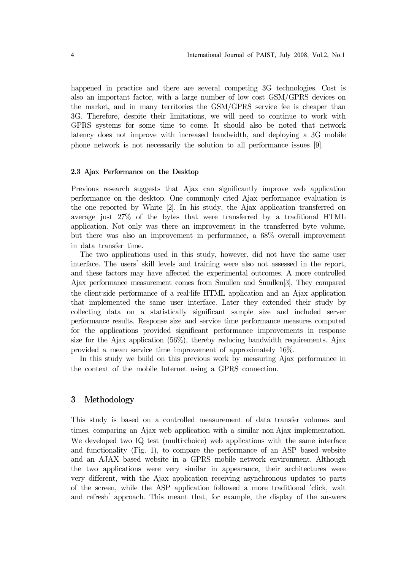happened in practice and there are several competing 3G technologies. Cost is also an important factor, with a large number of low cost GSM/GPRS devices on the market, and in many territories the GSM/GPRS service fee is cheaper than 3G. Therefore, despite their limitations, we will need to continue to work with GPRS systems for some time to come. It should also be noted that network latency does not improve with increased bandwidth, and deploying a 3G mobile phone network is not necessarily the solution to all performance issues [9].

## 2.3 Ajax Performance on the Desktop

Previous research suggests that Ajax can significantly improve web application performance on the desktop. One commonly cited Ajax performance evaluation is the one reported by White [2]. In his study, the Ajax application transferred on average just 27% of the bytes that were transferred by a traditional HTML application. Not only was there an improvement in the transferred byte volume, but there was also an improvement in performance, a 68% overall improvement in data transfer time.

The two applications used in this study, however, did not have the same user interface. The users' skill levels and training were also not assessed in the report, and these factors may have affected the experimental outcomes. A more controlled Ajax performance measurement comes from Smullen and Smullen[3]. They compared application. Not only was there an improvement in the transferred byte volume,<br>but there was also an improvement in performance, a 68% overall improvement<br>in data transfer time.<br>The two applications used in this study, how that implemented the same user interface. Later they extended their study by collecting data on a statistically significant sample size and included server performance results. Response size and service time performance measures computed for the applications provided significant performance improvements in response size for the Ajax application (56%), thereby reducing bandwidth requirements. Ajax provided a mean service time improvement of approximately 16%.

In this study we build on this previous work by measuring Ajax performance in the context of the mobile Internet using a GPRS connection.

# 3 Methodology

This study is based on a controlled measurement of data transfer volumes and the context of the mobile Internet using a GPRS connection.<br> **3** Methodology<br>
This study is based on a controlled measurement of data transfer volumes and<br>
times, comparing an Ajax web application with a similar non-Ajax i times, comparing an Ajax web application with a similar non-Ajax implementation.<br>We developed two IQ test (multi-choice) web applications with the same interface and functionality (Fig. 1), to compare the performance of an ASP based website and an AJAX based website in a GPRS mobile network environment. Although the two applications were very similar in appearance, their architectures were very different, with the Ajax application receiving asynchronous updates to parts of the screen, while the ASP application followed a more traditional 'click, wait and refresh' approach. This meant that, for example, the display of the answers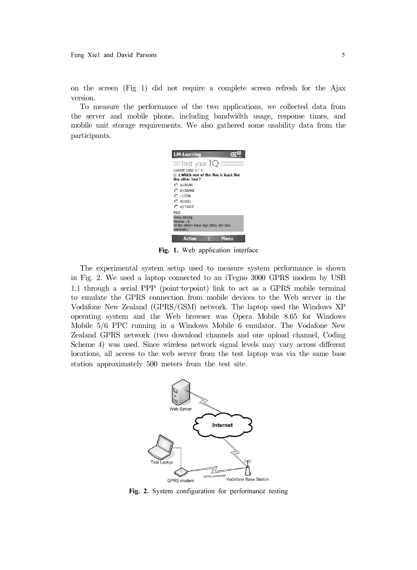on the screen (Fig 1) did not require a complete screen refresh for the Ajax version.

To measure the performance of the two applications, we collected data from the server and mobile phone, including bandwidth usage, response times, and mobile unit storage requirements. We also gathered some usability data from the participants.



Fig. 1. Web application interface

The experimental system setup used to measure system performance is shown in Fig. 2. We used a laptop connected to an iTegno 3000 GPRS modem by USB Althe others have legs (they are also<br> **1.1.** Web application interface<br> **1.1.** Web application interface<br>
The experimental system setup used to measure system performance is shown<br>
in Fig. 2. We used a laptop connected to to emulate the GPRS connection from mobile devices to the Web server in the Vodafone New Zealand (GPRS/GSM) network. The laptop used the Windows XP operating system and the Web browser was Opera Mobile 8.65 for Windows Mobile 5/6 PPC running in a Windows Mobile 6 emulator. The Vodafone New Zealand GPRS network (two download channels and one upload channel, Coding Scheme 4) was used. Since wireless network signal levels may vary across different locations, all access to the web server from the test laptop was via the same base station approximately 500 meters from the test site.



Fig. 2. System configuration for performance testing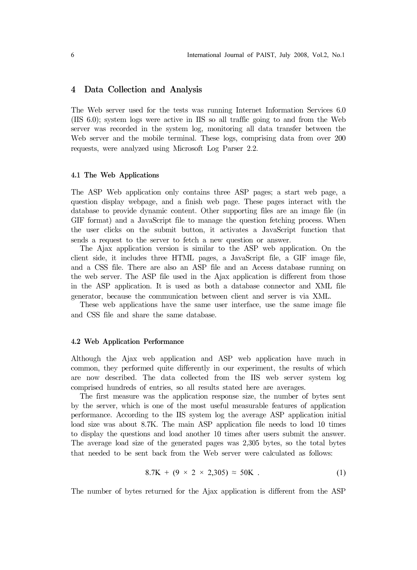## 4 Data Collection and Analysis

The Web server used for the tests was running Internet Information Services 6.0 (IIS 6.0); system logs were active in IIS so all traffic going to and from the Web server was recorded in the system log, monitoring all data transfer between the Web server and the mobile terminal. These logs, comprising data from over 200 requests, were analyzed using Microsoft Log Parser 2.2.

#### 4.1 The Web Applications

The ASP Web application only contains three ASP pages; a start web page, a question display webpage, and a finish web page. These pages interact with the database to provide dynamic content. Other supporting files are an image file (in GIF format) and a JavaScript file to manage the question fetching process. When the user clicks on the submit button, it activates a JavaScript function that sends a request to the server to fetch a new question or answer.

The Ajax application version is similar to the ASP web application. On the client side, it includes three HTML pages, a JavaScript file, a GIF image file, and a CSS file. There are also an ASP file and an Access database running on the web server. The ASP file used in the Ajax application is different from those in the ASP application. It is used as both a database connector and XML file generator, because the communication between client and server is via XML.

These web applications have the same user interface, use the same image file and CSS file and share the same database.

#### 4.2 Web Application Performance

Although the Ajax web application and ASP web application have much in common, they performed quite differently in our experiment, the results of which are now described. The data collected from the IIS web server system log comprised hundreds of entries, so all results stated here are averages.

The first measure was the application response size, the number of bytes sent by the server, which is one of the most useful measurable features of application performance. According to the IIS system log the average ASP application initial load size was about 8.7K. The main ASP application file needs to load 10 times to display the questions and load another 10 times after users submit the answer. The average load size of the generated pages was 2,305 bytes, so the total bytes that needed to be sent back from the Web server were calculated as follows:

$$
8.7K + (9 \times 2 \times 2,305) \approx 50K \tag{1}
$$

The number of bytes returned for the Ajax application is different from the ASP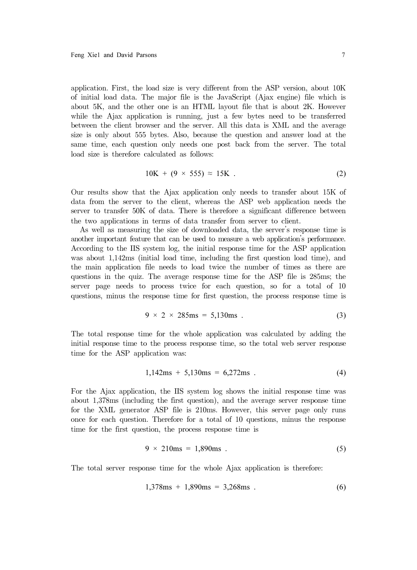application. First, the load size is very different from the ASP version, about 10K of initial load data. The major file is the JavaScript (Ajax engine) file which is about 5K, and the other one is an HTML layout file that is about 2K. However while the Ajax application is running, just a few bytes need to be transferred between the client browser and the server. All this data is XML and the average size is only about 555 bytes. Also, because the question and answer load at the same time, each question only needs one post back from the server. The total load size is therefore calculated as follows:

$$
10K + (9 \times 555) \approx 15K \tag{2}
$$

Our results show that the Ajax application only needs to transfer about 15K of data from the server to the client, whereas the ASP web application needs the server to transfer 50K of data. There is therefore a significant difference between the two applications in terms of data transfer from server to client.

As well as measuring the size of downloaded data, the server's response time is another important feature that can be used to measure a web application's performance. According to the IIS system log, the initial response time for the ASP application was about 1,142ms (initial load time, including the first question load time), and the main application file needs to load twice the number of times as there are questions in the quiz. The average response time for the ASP file is 285ms; the server page needs to process twice for each question, so for a total of 10 questions, minus the response time for first question, the process response time is

$$
9 \times 2 \times 285 \text{ms} = 5,130 \text{ms} \tag{3}
$$

The total response time for the whole application was calculated by adding the initial response time to the process response time, so the total web server response time for the ASP application was:

$$
1,142ms + 5,130ms = 6,272ms . \tag{4}
$$

For the Ajax application, the IIS system log shows the initial response time was about 1,378ms (including the first question), and the average server response time for the XML generator ASP file is 210ms. However, this server page only runs once for each question. Therefore for a total of 10 questions, minus the response time for the first question, the process response time is

$$
9 \times 210 \text{ms} = 1,890 \text{ms} \tag{5}
$$

The total server response time for the whole Ajax application is therefore:

$$
1,378ms + 1,890ms = 3,268ms . \tag{6}
$$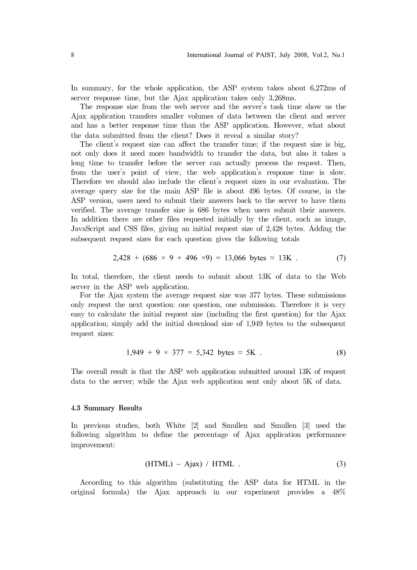In summary, for the whole application, the ASP system takes about 6,272ms of server response time, but the Ajax application takes only 3,268ms.

The response size from the web server and the server's task time show us the Ajax application transfers smaller volumes of data between the client and server and has a better response time than the ASP application. However, what about the data submitted from the client? Does it reveal a similar story?

The client's request size can affect the transfer time; if the request size is big, not only does it need more bandwidth to transfer the data, but also it takes a long time to transfer before the server can actually process the request. Then, from the user's point of view, the web application's response time is slow. Therefore we should also include the client's request sizes in our evaluation. The average query size for the main ASP file is about 496 bytes. Of course, in the ASP version, users need to submit their answers back to the server to have them verified. The average transfer size is 686 bytes when users submit their answers. In addition there are other files requested initially by the client, such as image, JavaScript and CSS files, giving an initial request size of 2,428 bytes. Adding the subsequent request sizes for each question gives the following totals

$$
2,428 + (686 \times 9 + 496 \times 9) = 13,066 \text{ bytes} \approx 13 \text{K} \tag{7}
$$

In total, therefore, the client needs to submit about 13K of data to the Web server in the ASP web application.

For the Ajax system the average request size was 377 bytes. These submissions only request the next question: one question, one submission. Therefore it is very easy to calculate the initial request size (including the first question) for the Ajax application; simply add the initial download size of 1,949 bytes to the subsequent request sizes:

$$
1,949 + 9 \times 377 = 5,342 \text{ bytes } \approx 5 \text{K} \tag{8}
$$

The overall result is that the ASP web application submitted around 13K of request data to the server; while the Ajax web application sent only about 5K of data.

#### 4.3 Summary Results

In previous studies, both White [2] and Smullen and Smullen [3] used the following algorithm to define the percentage of Ajax application performance improvement:

$$
(HTML) - Ajax) / HTML . \t(3)
$$

According to this algorithm (substituting the ASP data for HTML in the original formula) the Ajax approach in our experiment provides a 48%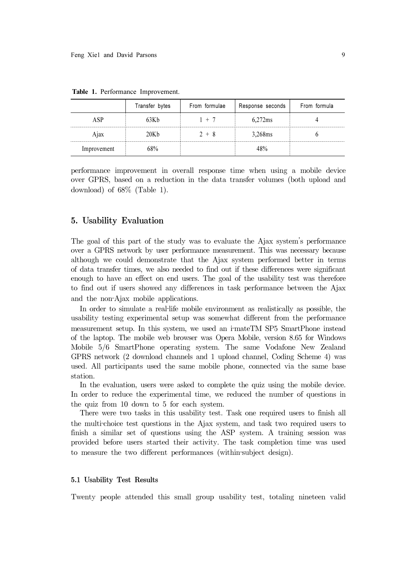|             | Transfer bytes | From formulae | Response seconds | From formula |
|-------------|----------------|---------------|------------------|--------------|
| ASP         | 63K h          |               | 6,272ms          |              |
| A1ax        | 20K h          | 2 + 8         | 3,268ms          |              |
| Improvement | $8\%$          |               | 18%              |              |

Table 1. Performance Improvement.

performance improvement in overall response time when using a mobile device over GPRS, based on a reduction in the data transfer volumes (both upload and download) of 68% (Table 1).

# 5. Usability Evaluation

The goal of this part of the study was to evaluate the Ajax system's performance over a GPRS network by user performance measurement. This was necessary because although we could demonstrate that the Ajax system performed better in terms of data transfer times, we also needed to find out if these differences were significant enough to have an effect on end users. The goal of the usability test was therefore to find out if users showed any differences in task performance between the Ajax The goal of this part of the study was<br>over a GPRS network by user performa<br>although we could demonstrate that<br>of data transfer times, we also needed t<br>enough to have an effect on end users.<br>to find out if users showed any In order to simulate a real-life mobile environment as realistically as possible, the order to simulate a real-<br>In order to simulate that the Ajax system performed better in terms data transfer times, we also needed to fin atthough we could demonstrate that the Ajax system performed better in terms<br>of data transfer times, we also needed to find out if these differences were significant<br>enough to have an effect on end users. The goal of the u

usability testing experimental setup was somewhat different from the performance of the laptop. The mobile web browser was Opera Mobile, version 8.65 for Windows Mobile 5/6 SmartPhone operating system. The same Vodafone New Zealand GPRS network (2 download channels and 1 upload channel, Coding Scheme 4) was used. All participants used the same mobile phone, connected via the same base station.

In the evaluation, users were asked to complete the quiz using the mobile device. In order to reduce the experimental time, we reduced the number of questions in the quiz from 10 down to 5 for each system. GPRS network (2 download channels and 1 upload channel, Coding Scheme 4) was used. All participants used the same mobile phone, connected via the same base station.<br>In the evaluation, users were asked to complete the quiz

There were two tasks in this usability test. Task one required users to finish all finish a similar set of questions using the ASP system. A training session was provided before users started their activity. The task completion time was used In the evaluation, users were asked to complete the quiz using the In order to reduce the experimental time, we reduced the number the quiz from 10 down to 5 for each system.<br>There were two tasks in this usability test. Ta

#### 5.1 Usability Test Results

Twenty people attended this small group usability test, totaling nineteen valid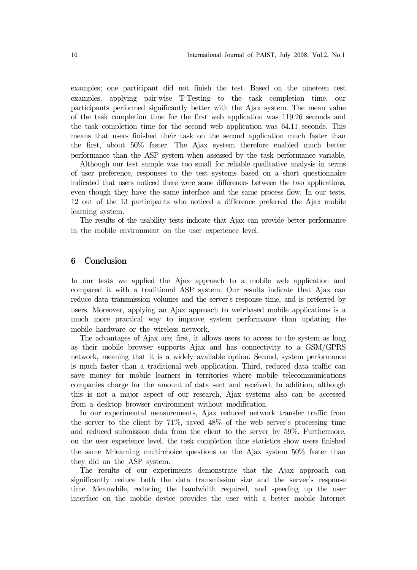examples; one participant did not finish the test. Based on the nineteen test International Journal of PAIST, July 2008, Vol.2, No.1<br>examples; one participant did not finish the test. Based on the nineteen test<br>examples, applying pair–wise T<sup>-</sup>Testing to the task completion time, our participants performed significantly better with the Ajax system. The mean value of the task completion time for the first web application was 119.26 seconds and the task completion time for the second web application was 64.11 seconds. This means that users finished their task on the second application much faster than the first, about 50% faster. The Ajax system therefore enabled much better performance than the ASP system when assessed by the task performance variable.

Although our test sample was too small for reliable qualitative analysis in terms of user preference, responses to the test systems based on a short questionnaire indicated that users noticed there were some differences between the two applications, even though they have the same interface and the same process flow. In our tests, 12 out of the 13 participants who noticed a difference preferred the Ajax mobile learning system.

The results of the usability tests indicate that Ajax can provide better performance in the mobile environment on the user experience level.

# 6 Conclusion

In our tests we applied the Ajax approach to a mobile web application and compared it with a traditional ASP system. Our results indicate that Ajax can reduce data transmission volumes and the server's response time, and is preferred by **6 Conclusion**<br>In our tests we applied the Ajax approach to a mobile web application and<br>compared it with a traditional ASP system. Our results indicate that Ajax can<br>reduce data transmission volumes and the server's respo much more practical way to improve system performance than updating the mobile hardware or the wireless network.

The advantages of Ajax are; first, it allows users to access to the system as long as their mobile browser supports Ajax and has connectivity to a GSM/GPRS network, meaning that it is a widely available option. Second, system performance is much faster than a traditional web application. Third, reduced data traffic can save money for mobile learners in territories where mobile telecommunications companies charge for the amount of data sent and received. In addition, although this is not a major aspect of our research, Ajax systems also can be accessed from a desktop browser environment without modification.

In our experimental measurements, Ajax reduced network transfer traffic from the server to the client by 71%, saved 48% of the web server's processing time and reduced submission data from the client to the server by 59%. Furthermore, on the user experience level, the task completion time statistics show users finished companies charge for the amount of data sent and received. In addition, although<br>this is not a major aspect of our research, Ajax systems also can be accessed<br>from a desktop browser environment without modification.<br>In our they did on the ASP system.

The results of our experiments demonstrate that the Ajax approach can significantly reduce both the data transmission size and the server's response time. Meanwhile, reducing the bandwidth required, and speeding up the user interface on the mobile device provides the user with a better mobile Internet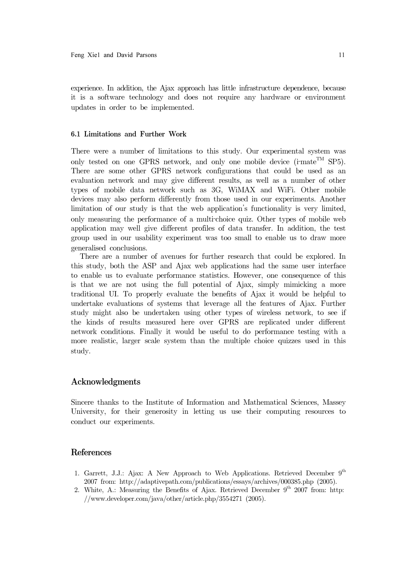experience. In addition, the Ajax approach has little infrastructure dependence, because it is a software technology and does not require any hardware or environment updates in order to be implemented. it is a software technology and does not require any hardware or environment<br>updates in order to be implemented.<br>6.1 Limitations and Further Work<br>There were a number of limitations to this study. Our experimental system w

## 6.1 Limitations and Further Work

There were a number of limitations to this study. Our experimental system was There are some other GPRS network configurations that could be used as an evaluation network and may give different results, as well as a number of other types of mobile data network such as 3G, WiMAX and WiFi. Other mobile devices may also perform differently from those used in our experiments. Another limitation of our study is that the web application's functionality is very limited, only tested on one GPRS network, and only one mobile device (i-mate<sup>TM</sup> SP5).<br>There are some other GPRS network configurations that could be used as an evaluation network and may give different results, as well as a numbe application may well give different profiles of data transfer. In addition, the test group used in our usability experiment was too small to enable us to draw more generalised conclusions.

There are a number of avenues for further research that could be explored. In this study, both the ASP and Ajax web applications had the same user interface to enable us to evaluate performance statistics. However, one consequence of this is that we are not using the full potential of Ajax, simply mimicking a more traditional UI. To properly evaluate the benefits of Ajax it would be helpful to undertake evaluations of systems that leverage all the features of Ajax. Further study might also be undertaken using other types of wireless network, to see if the kinds of results measured here over GPRS are replicated under different network conditions. Finally it would be useful to do performance testing with a more realistic, larger scale system than the multiple choice quizzes used in this study.

## Acknowledgments

Sincere thanks to the Institute of Information and Mathematical Sciences, Massey University, for their generosity in letting us use their computing resources to conduct our experiments.

# References

- 1. Garrett, J.J.: Ajax: A New Approach to Web Applications. Retrieved December  $9<sup>th</sup>$ 2007 from: http://adaptivepath.com/publications/essays/archives/000385.php (2005).
- 2. White, A.: Measuring the Benefits of Ajax. Retrieved December  $9<sup>th</sup>$  2007 from: http: //www.developer.com/java/other/article.php/3554271 (2005).